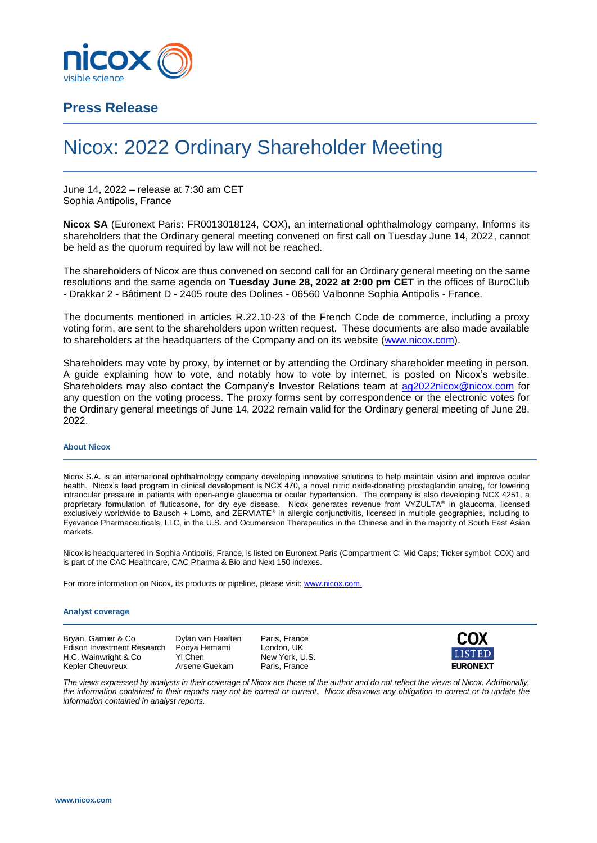

## **Press Release**

# Nicox: 2022 Ordinary Shareholder Meeting

June 14, 2022 – release at 7:30 am CET Sophia Antipolis, France

**Nicox SA** (Euronext Paris: FR0013018124, COX), an international ophthalmology company, Informs its shareholders that the Ordinary general meeting convened on first call on Tuesday June 14, 2022, cannot be held as the quorum required by law will not be reached.

The shareholders of Nicox are thus convened on second call for an Ordinary general meeting on the same resolutions and the same agenda on **Tuesday June 28, 2022 at 2:00 pm CET** in the offices of BuroClub - Drakkar 2 - Bâtiment D - 2405 route des Dolines - 06560 Valbonne Sophia Antipolis - France.

The documents mentioned in articles R.22.10-23 of the French Code de commerce, including a proxy voting form, are sent to the shareholders upon written request. These documents are also made available to shareholders at the headquarters of the Company and on its website [\(www.nicox.com\)](http://www.nicox.com/).

Shareholders may vote by proxy, by internet or by attending the Ordinary shareholder meeting in person. A guide explaining how to vote, and notably how to vote by internet, is posted on Nicox's website. Shareholders may also contact the Company's Investor Relations team at [ag2022nicox@nicox.com](mailto:ag2022nicox@nicox.com) for any question on the voting process. The proxy forms sent by correspondence or the electronic votes for the Ordinary general meetings of June 14, 2022 remain valid for the Ordinary general meeting of June 28, 2022.

#### **About Nicox**

Nicox S.A. is an international ophthalmology company developing innovative solutions to help maintain vision and improve ocular health. Nicox's lead program in clinical development is NCX 470, a novel nitric oxide-donating prostaglandin analog, for lowering intraocular pressure in patients with open-angle glaucoma or ocular hypertension. The company is also developing NCX 4251, a proprietary formulation of fluticasone, for dry eye disease. Nicox generates revenue from VYZULTA® in glaucoma, licensed exclusively worldwide to Bausch + Lomb, and ZERVIATE® in allergic conjunctivitis, licensed in multiple geographies, including to Eyevance Pharmaceuticals, LLC, in the U.S. and Ocumension Therapeutics in the Chinese and in the majority of South East Asian markets.

Nicox is headquartered in Sophia Antipolis, France, is listed on Euronext Paris (Compartment C: Mid Caps; Ticker symbol: COX) and is part of the CAC Healthcare, CAC Pharma & Bio and Next 150 indexes.

For more information on Nicox, its products or pipeline, please visit[: www.nicox.com.](http://www.nicox.com/)

#### **Analyst coverage**

Bryan, Garnier & Co Dylan van Haaften Paris, France Edison Investment Research Pooya Hemami London, UK H.C. Wainwright & Co Yi Chen New York, U.S.<br>Kepler Cheuvreux Arsene Guekam Paris, France Kepler Cheuvreux



*The views expressed by analysts in their coverage of Nicox are those of the author and do not reflect the views of Nicox. Additionally, the information contained in their reports may not be correct or current. Nicox disavows any obligation to correct or to update the information contained in analyst reports.*